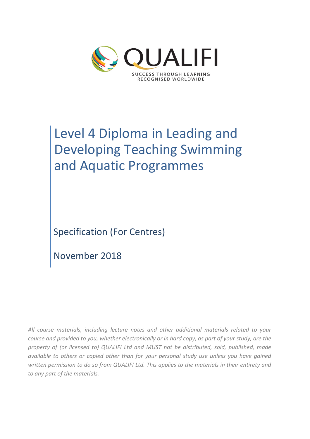

# Level 4 Diploma in Leading and Developing Teaching Swimming and Aquatic Programmes

Specification (For Centres)

November 2018

*All course materials, including lecture notes and other additional materials related to your course and provided to you, whether electronically or in hard copy, as part of your study, are the property of (or licensed to) QUALIFI Ltd and MUST not be distributed, sold, published, made available to others or copied other than for your personal study use unless you have gained written permission to do so from QUALIFI Ltd. This applies to the materials in their entirety and to any part of the materials.*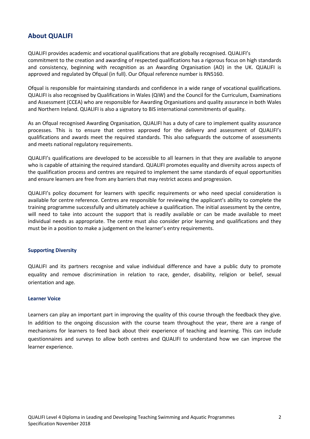# **About QUALIFI**

QUALIFI provides academic and vocational qualifications that are globally recognised. QUALIFI's commitment to the creation and awarding of respected qualifications has a rigorous focus on high standards and consistency, beginning with recognition as an Awarding Organisation (AO) in the UK. QUALIFI is approved and regulated by Ofqual (in full). Our Ofqual reference number is RN5160.

Ofqual is responsible for maintaining standards and confidence in a wide range of vocational qualifications. QUALIFI is also recognised by Qualifications in Wales (QiW) and the Council for the Curriculum, Examinations and Assessment (CCEA) who are responsible for Awarding Organisations and quality assurance in both Wales and Northern Ireland. QUALIFI is also a signatory to BIS international commitments of quality.

As an Ofqual recognised Awarding Organisation, QUALIFI has a duty of care to implement quality assurance processes. This is to ensure that centres approved for the delivery and assessment of QUALIFI's qualifications and awards meet the required standards. This also safeguards the outcome of assessments and meets national regulatory requirements.

QUALIFI's qualifications are developed to be accessible to all learners in that they are available to anyone who is capable of attaining the required standard. QUALIFI promotes equality and diversity across aspects of the qualification process and centres are required to implement the same standards of equal opportunities and ensure learners are free from any barriers that may restrict access and progression.

QUALIFI's policy document for learners with specific requirements or who need special consideration is available for centre reference. Centres are responsible for reviewing the applicant's ability to complete the training programme successfully and ultimately achieve a qualification. The initial assessment by the centre, will need to take into account the support that is readily available or can be made available to meet individual needs as appropriate. The centre must also consider prior learning and qualifications and they must be in a position to make a judgement on the learner's entry requirements.

#### **Supporting Diversity**

QUALIFI and its partners recognise and value individual difference and have a public duty to promote equality and remove discrimination in relation to race, gender, disability, religion or belief, sexual orientation and age.

#### **Learner Voice**

Learners can play an important part in improving the quality of this course through the feedback they give. In addition to the ongoing discussion with the course team throughout the year, there are a range of mechanisms for learners to feed back about their experience of teaching and learning. This can include questionnaires and surveys to allow both centres and QUALIFI to understand how we can improve the learner experience.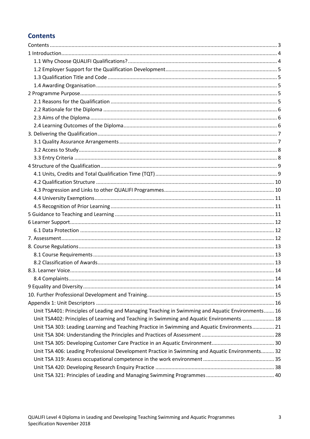# **Contents**

| Unit TSA401: Principles of Leading and Managing Teaching in Swimming and Aquatic Environments 16 |  |
|--------------------------------------------------------------------------------------------------|--|
| Unit TSA402: Principles of Learning and Teaching in Swimming and Aquatic Environments  18        |  |
| Unit TSA 303: Leading Learning and Teaching Practice in Swimming and Aquatic Environments 21     |  |
|                                                                                                  |  |
|                                                                                                  |  |
| Unit TSA 406: Leading Professional Development Practice in Swimming and Aquatic Environments 32  |  |
|                                                                                                  |  |
|                                                                                                  |  |
|                                                                                                  |  |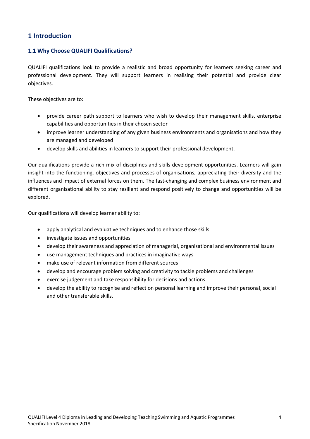# **1 Introduction**

# **1.1 Why Choose QUALIFI Qualifications?**

QUALIFI qualifications look to provide a realistic and broad opportunity for learners seeking career and professional development. They will support learners in realising their potential and provide clear objectives.

These objectives are to:

- provide career path support to learners who wish to develop their management skills, enterprise capabilities and opportunities in their chosen sector
- improve learner understanding of any given business environments and organisations and how they are managed and developed
- develop skills and abilities in learners to support their professional development.

Our qualifications provide a rich mix of disciplines and skills development opportunities. Learners will gain insight into the functioning, objectives and processes of organisations, appreciating their diversity and the influences and impact of external forces on them. The fast-changing and complex business environment and different organisational ability to stay resilient and respond positively to change and opportunities will be explored.

Our qualifications will develop learner ability to:

- apply analytical and evaluative techniques and to enhance those skills
- investigate issues and opportunities
- develop their awareness and appreciation of managerial, organisational and environmental issues
- use management techniques and practices in imaginative ways
- make use of relevant information from different sources
- develop and encourage problem solving and creativity to tackle problems and challenges
- exercise judgement and take responsibility for decisions and actions
- develop the ability to recognise and reflect on personal learning and improve their personal, social and other transferable skills.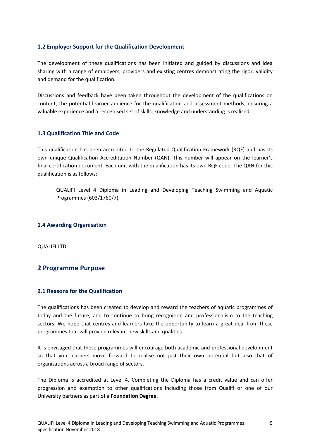# **1.2 Employer Support for the Qualification Development**

The development of these qualifications has been initiated and guided by discussions and idea sharing with a range of employers, providers and existing centres demonstrating the rigor, validity and demand for the qualification.

Discussions and feedback have been taken throughout the development of the qualifications on content, the potential learner audience for the qualification and assessment methods, ensuring a valuable experience and a recognised set of skills, knowledge and understanding is realised.

## **1.3 Qualification Title and Code**

This qualification has been accredited to the Regulated Qualification Framework (RQF) and has its own unique Qualification Accreditation Number (QAN). This number will appear on the learner's final certification document. Each unit with the qualification has its own RQF code. The QAN for this qualification is as follows:

QUALIFI Level 4 Diploma in Leading and Developing Teaching Swimming and Aquatic Programmes (603/1760/7)

## **1.4 Awarding Organisation**

QUALIFI LTD

# **2 Programme Purpose**

## **2.1 Reasons for the Qualification**

The qualifications has been created to develop and reward the teachers of aquatic programmes of today and the future, and to continue to bring recognition and professionalism to the teaching sectors. We hope that centres and learners take the opportunity to learn a great deal from these programmes that will provide relevant new skills and qualities.

It is envisaged that these programmes will encourage both academic and professional development so that you learners move forward to realise not just their own potential but also that of organisations across a broad range of sectors.

The Diploma is accredited at Level 4. Completing the Diploma has a credit value and can offer progression and exemption to other qualifications including those from Qualifi or one of our University partners as part of a **Foundation Degree.**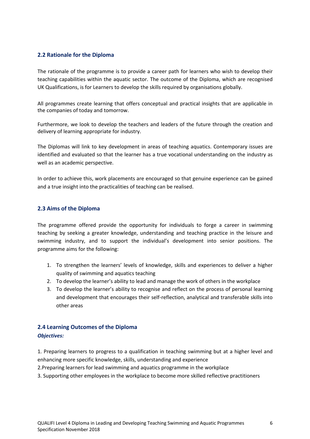## **2.2 Rationale for the Diploma**

The rationale of the programme is to provide a career path for learners who wish to develop their teaching capabilities within the aquatic sector. The outcome of the Diploma, which are recognised UK Qualifications, is for Learners to develop the skills required by organisations globally.

All programmes create learning that offers conceptual and practical insights that are applicable in the companies of today and tomorrow.

Furthermore, we look to develop the teachers and leaders of the future through the creation and delivery of learning appropriate for industry.

The Diplomas will link to key development in areas of teaching aquatics. Contemporary issues are identified and evaluated so that the learner has a true vocational understanding on the industry as well as an academic perspective.

In order to achieve this, work placements are encouraged so that genuine experience can be gained and a true insight into the practicalities of teaching can be realised.

#### **2.3 Aims of the Diploma**

The programme offered provide the opportunity for individuals to forge a career in swimming teaching by seeking a greater knowledge, understanding and teaching practice in the leisure and swimming industry, and to support the individual's development into senior positions. The programme aims for the following:

- 1. To strengthen the learners' levels of knowledge, skills and experiences to deliver a higher quality of swimming and aquatics teaching
- 2. To develop the learner's ability to lead and manage the work of others in the workplace
- 3. To develop the learner's ability to recognise and reflect on the process of personal learning and development that encourages their self-reflection, analytical and transferable skills into other areas

# **2.4 Learning Outcomes of the Diploma** *Objectives:*

1. Preparing learners to progress to a qualification in teaching swimming but at a higher level and enhancing more specific knowledge, skills, understanding and experience

2.Preparing learners for lead swimming and aquatics programme in the workplace

3. Supporting other employees in the workplace to become more skilled reflective practitioners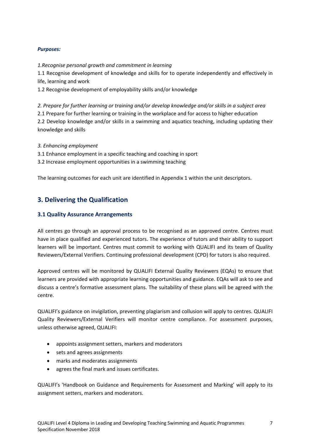## *Purposes:*

*1.Recognise personal growth and commitment in learning*

1.1 Recognise development of knowledge and skills for to operate independently and effectively in life, learning and work

1.2 Recognise development of employability skills and/or knowledge

*2. Prepare for further learning or training and/or develop knowledge and/or skills in a subject area* 2.1 Prepare for further learning or training in the workplace and for access to higher education 2.2 Develop knowledge and/or skills in a swimming and aquatics teaching, including updating their knowledge and skills

*3. Enhancing employment*

3.1 Enhance employment in a specific teaching and coaching in sport

3.2 Increase employment opportunities in a swimming teaching

The learning outcomes for each unit are identified in Appendix 1 within the unit descriptors.

# **3. Delivering the Qualification**

## **3.1 Quality Assurance Arrangements**

All centres go through an approval process to be recognised as an approved centre. Centres must have in place qualified and experienced tutors. The experience of tutors and their ability to support learners will be important. Centres must commit to working with QUALIFI and its team of Quality Reviewers/External Verifiers. Continuing professional development (CPD) for tutors is also required.

Approved centres will be monitored by QUALIFI External Quality Reviewers (EQAs) to ensure that learners are provided with appropriate learning opportunities and guidance. EQAs will ask to see and discuss a centre's formative assessment plans. The suitability of these plans will be agreed with the centre.

QUALIFI's guidance on invigilation, preventing plagiarism and collusion will apply to centres. QUALIFI Quality Reviewers/External Verifiers will monitor centre compliance. For assessment purposes, unless otherwise agreed, QUALIFI:

- appoints assignment setters, markers and moderators
- sets and agrees assignments
- marks and moderates assignments
- agrees the final mark and issues certificates.

QUALIFI's 'Handbook on Guidance and Requirements for Assessment and Marking' will apply to its assignment setters, markers and moderators.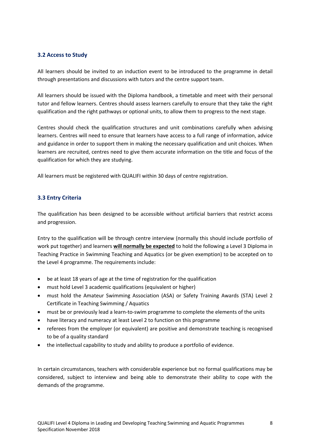## **3.2 Access to Study**

All learners should be invited to an induction event to be introduced to the programme in detail through presentations and discussions with tutors and the centre support team.

All learners should be issued with the Diploma handbook, a timetable and meet with their personal tutor and fellow learners. Centres should assess learners carefully to ensure that they take the right qualification and the right pathways or optional units, to allow them to progress to the next stage.

Centres should check the qualification structures and unit combinations carefully when advising learners. Centres will need to ensure that learners have access to a full range of information, advice and guidance in order to support them in making the necessary qualification and unit choices. When learners are recruited, centres need to give them accurate information on the title and focus of the qualification for which they are studying.

All learners must be registered with QUALIFI within 30 days of centre registration.

## **3.3 Entry Criteria**

The qualification has been designed to be accessible without artificial barriers that restrict access and progression.

Entry to the qualification will be through centre interview (normally this should include portfolio of work put together) and learners **will normally be expected** to hold the following a Level 3 Diploma in Teaching Practice in Swimming Teaching and Aquatics (or be given exemption) to be accepted on to the Level 4 programme. The requirements include:

- be at least 18 years of age at the time of registration for the qualification
- must hold Level 3 academic qualifications (equivalent or higher)
- must hold the Amateur Swimming Association (ASA) or Safety Training Awards (STA) Level 2 Certificate in Teaching Swimming / Aquatics
- must be or previously lead a learn-to-swim programme to complete the elements of the units
- have literacy and numeracy at least Level 2 to function on this programme
- referees from the employer (or equivalent) are positive and demonstrate teaching is recognised to be of a quality standard
- the intellectual capability to study and ability to produce a portfolio of evidence.

In certain circumstances, teachers with considerable experience but no formal qualifications may be considered, subject to interview and being able to demonstrate their ability to cope with the demands of the programme.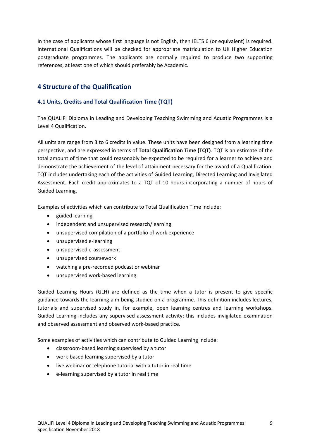In the case of applicants whose first language is not English, then IELTS 6 (or equivalent) is required. International Qualifications will be checked for appropriate matriculation to UK Higher Education postgraduate programmes. The applicants are normally required to produce two supporting references, at least one of which should preferably be Academic.

# **4 Structure of the Qualification**

# **4.1 Units, Credits and Total Qualification Time (TQT)**

The QUALIFI Diploma in Leading and Developing Teaching Swimming and Aquatic Programmes is a Level 4 Qualification.

All units are range from 3 to 6 credits in value. These units have been designed from a learning time perspective, and are expressed in terms of **Total Qualification Time (TQT)**. TQT is an estimate of the total amount of time that could reasonably be expected to be required for a learner to achieve and demonstrate the achievement of the level of attainment necessary for the award of a Qualification. TQT includes undertaking each of the activities of Guided Learning, Directed Learning and Invigilated Assessment. Each credit approximates to a TQT of 10 hours incorporating a number of hours of Guided Learning.

Examples of activities which can contribute to Total Qualification Time include:

- guided learning
- independent and unsupervised research/learning
- unsupervised compilation of a portfolio of work experience
- unsupervised e-learning
- unsupervised e-assessment
- unsupervised coursework
- watching a pre-recorded podcast or webinar
- unsupervised work-based learning.

Guided Learning Hours (GLH) are defined as the time when a tutor is present to give specific guidance towards the learning aim being studied on a programme. This definition includes lectures, tutorials and supervised study in, for example, open learning centres and learning workshops. Guided Learning includes any supervised assessment activity; this includes invigilated examination and observed assessment and observed work-based practice.

Some examples of activities which can contribute to Guided Learning include:

- classroom-based learning supervised by a tutor
- work-based learning supervised by a tutor
- live webinar or telephone tutorial with a tutor in real time
- e-learning supervised by a tutor in real time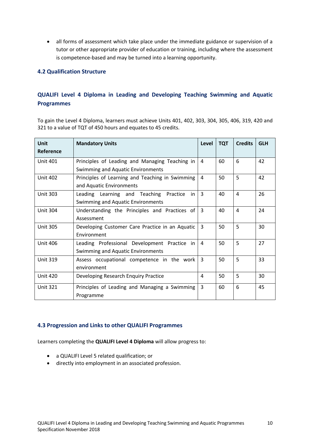• all forms of assessment which take place under the immediate guidance or supervision of a tutor or other appropriate provider of education or training, including where the assessment is competence-based and may be turned into a learning opportunity.

## **4.2 Qualification Structure**

# **QUALIFI Level 4 Diploma in Leading and Developing Teaching Swimming and Aquatic Programmes**

To gain the Level 4 Diploma, learners must achieve Units 401, 402, 303, 304, 305, 406, 319, 420 and 321 to a value of TQT of 450 hours and equates to 45 credits.

| Unit<br>Reference | <b>Mandatory Units</b>                                                                     | Level | <b>TQT</b> | <b>Credits</b> | <b>GLH</b> |
|-------------------|--------------------------------------------------------------------------------------------|-------|------------|----------------|------------|
| <b>Unit 401</b>   | Principles of Leading and Managing Teaching in<br><b>Swimming and Aquatic Environments</b> | 4     | 60         | 6              | 42         |
| <b>Unit 402</b>   | Principles of Learning and Teaching in Swimming<br>and Aquatic Environments                | 4     | 50         | 5              | 42         |
| <b>Unit 303</b>   | Leading Learning and Teaching<br>Practice<br>in<br>Swimming and Aquatic Environments       | 3     | 40         | 4              | 26         |
| <b>Unit 304</b>   | Understanding the Principles and Practices of<br>Assessment                                | 3     | 40         | 4              | 24         |
| <b>Unit 305</b>   | Developing Customer Care Practice in an Aquatic<br>Environment                             | 3     | 50         | 5              | 30         |
| <b>Unit 406</b>   | Leading Professional Development Practice in<br>Swimming and Aquatic Environments          | 4     | 50         | 5              | 27         |
| <b>Unit 319</b>   | Assess occupational competence in the work<br>environment                                  | 3     | 50         | 5              | 33         |
| <b>Unit 420</b>   | Developing Research Enquiry Practice                                                       | 4     | 50         | 5              | 30         |
| <b>Unit 321</b>   | Principles of Leading and Managing a Swimming<br>Programme                                 | 3     | 60         | 6              | 45         |

## **4.3 Progression and Links to other QUALIFI Programmes**

Learners completing the **QUALIFI Level 4 Diploma** will allow progress to:

- a QUALIFI Level 5 related qualification; or
- directly into employment in an associated profession.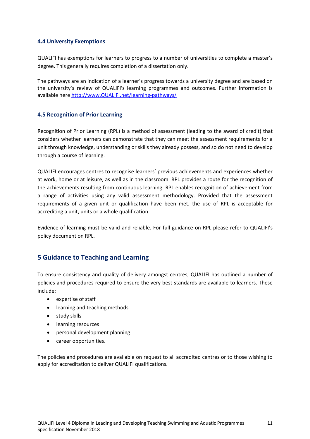## **4.4 University Exemptions**

QUALIFI has exemptions for learners to progress to a number of universities to complete a master's degree. This generally requires completion of a dissertation only.

The pathways are an indication of a learner's progress towards a university degree and are based on the university's review of QUALIFI's learning programmes and outcomes. Further information is available here http://www.QUALIFI.net/learning-pathways/

## **4.5 Recognition of Prior Learning**

Recognition of Prior Learning (RPL) is a method of assessment (leading to the award of credit) that considers whether learners can demonstrate that they can meet the assessment requirements for a unit through knowledge, understanding or skills they already possess, and so do not need to develop through a course of learning.

QUALIFI encourages centres to recognise learners' previous achievements and experiences whether at work, home or at leisure, as well as in the classroom. RPL provides a route for the recognition of the achievements resulting from continuous learning. RPL enables recognition of achievement from a range of activities using any valid assessment methodology. Provided that the assessment requirements of a given unit or qualification have been met, the use of RPL is acceptable for accrediting a unit, units or a whole qualification.

Evidence of learning must be valid and reliable. For full guidance on RPL please refer to QUALIFI's policy document on RPL.

# **5 Guidance to Teaching and Learning**

To ensure consistency and quality of delivery amongst centres, QUALIFI has outlined a number of policies and procedures required to ensure the very best standards are available to learners. These include:

- expertise of staff
- learning and teaching methods
- study skills
- learning resources
- personal development planning
- career opportunities.

The policies and procedures are available on request to all accredited centres or to those wishing to apply for accreditation to deliver QUALIFI qualifications.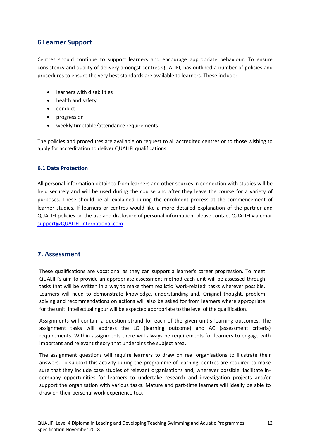# **6 Learner Support**

Centres should continue to support learners and encourage appropriate behaviour. To ensure consistency and quality of delivery amongst centres QUALIFI, has outlined a number of policies and procedures to ensure the very best standards are available to learners. These include:

- learners with disabilities
- health and safety
- conduct
- progression
- weekly timetable/attendance requirements.

The policies and procedures are available on request to all accredited centres or to those wishing to apply for accreditation to deliver QUALIFI qualifications.

#### **6.1 Data Protection**

All personal information obtained from learners and other sources in connection with studies will be held securely and will be used during the course and after they leave the course for a variety of purposes. These should be all explained during the enrolment process at the commencement of learner studies. If learners or centres would like a more detailed explanation of the partner and QUALIFI policies on the use and disclosure of personal information, please contact QUALIFI via email support@QUALIFI-international.com

# **7. Assessment**

These qualifications are vocational as they can support a learner's career progression. To meet QUALIFI's aim to provide an appropriate assessment method each unit will be assessed through tasks that will be written in a way to make them realistic 'work-related' tasks wherever possible. Learners will need to demonstrate knowledge, understanding and. Original thought, problem solving and recommendations on actions will also be asked for from learners where appropriate for the unit. Intellectual rigour will be expected appropriate to the level of the qualification.

Assignments will contain a question strand for each of the given unit's learning outcomes. The assignment tasks will address the LO (learning outcome) and AC (assessment criteria) requirements. Within assignments there will always be requirements for learners to engage with important and relevant theory that underpins the subject area.

The assignment questions will require learners to draw on real organisations to illustrate their answers. To support this activity during the programme of learning, centres are required to make sure that they include case studies of relevant organisations and, wherever possible, facilitate incompany opportunities for learners to undertake research and investigation projects and/or support the organisation with various tasks. Mature and part-time learners will ideally be able to draw on their personal work experience too.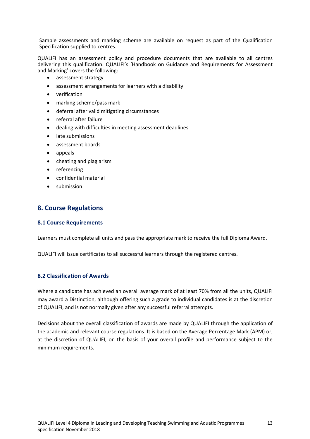Sample assessments and marking scheme are available on request as part of the Qualification Specification supplied to centres.

QUALIFI has an assessment policy and procedure documents that are available to all centres delivering this qualification. QUALIFI's 'Handbook on Guidance and Requirements for Assessment and Marking' covers the following:

- assessment strategy
- assessment arrangements for learners with a disability
- verification
- marking scheme/pass mark
- deferral after valid mitigating circumstances
- referral after failure
- dealing with difficulties in meeting assessment deadlines
- late submissions
- assessment boards
- appeals
- cheating and plagiarism
- referencing
- confidential material
- submission.

# **8. Course Regulations**

#### **8.1 Course Requirements**

Learners must complete all units and pass the appropriate mark to receive the full Diploma Award.

QUALIFI will issue certificates to all successful learners through the registered centres.

## **8.2 Classification of Awards**

Where a candidate has achieved an overall average mark of at least 70% from all the units, QUALIFI may award a Distinction, although offering such a grade to individual candidates is at the discretion of QUALIFI, and is not normally given after any successful referral attempts.

Decisions about the overall classification of awards are made by QUALIFI through the application of the academic and relevant course regulations. It is based on the Average Percentage Mark (APM) or, at the discretion of QUALIFI, on the basis of your overall profile and performance subject to the minimum requirements.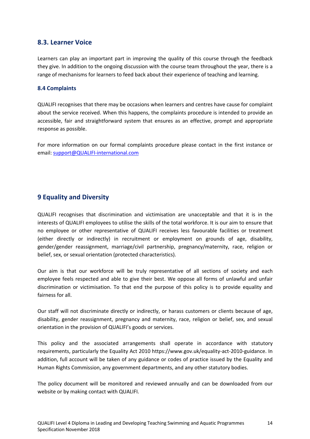# **8.3. Learner Voice**

Learners can play an important part in improving the quality of this course through the feedback they give. In addition to the ongoing discussion with the course team throughout the year, there is a range of mechanisms for learners to feed back about their experience of teaching and learning.

## **8.4 Complaints**

QUALIFI recognises that there may be occasions when learners and centres have cause for complaint about the service received. When this happens, the complaints procedure is intended to provide an accessible, fair and straightforward system that ensures as an effective, prompt and appropriate response as possible.

For more information on our formal complaints procedure please contact in the first instance or email: support@QUALIFI-international.com

# **9 Equality and Diversity**

QUALIFI recognises that discrimination and victimisation are unacceptable and that it is in the interests of QUALIFI employees to utilise the skills of the total workforce. It is our aim to ensure that no employee or other representative of QUALIFI receives less favourable facilities or treatment (either directly or indirectly) in recruitment or employment on grounds of age, disability, gender/gender reassignment, marriage/civil partnership, pregnancy/maternity, race, religion or belief, sex, or sexual orientation (protected characteristics).

Our aim is that our workforce will be truly representative of all sections of society and each employee feels respected and able to give their best. We oppose all forms of unlawful and unfair discrimination or victimisation. To that end the purpose of this policy is to provide equality and fairness for all.

Our staff will not discriminate directly or indirectly, or harass customers or clients because of age, disability, gender reassignment, pregnancy and maternity, race, religion or belief, sex, and sexual orientation in the provision of QUALIFI's goods or services.

This policy and the associated arrangements shall operate in accordance with statutory requirements, particularly the Equality Act 2010 https://www.gov.uk/equality-act-2010-guidance. In addition, full account will be taken of any guidance or codes of practice issued by the Equality and Human Rights Commission, any government departments, and any other statutory bodies.

The policy document will be monitored and reviewed annually and can be downloaded from our website or by making contact with QUALIFI.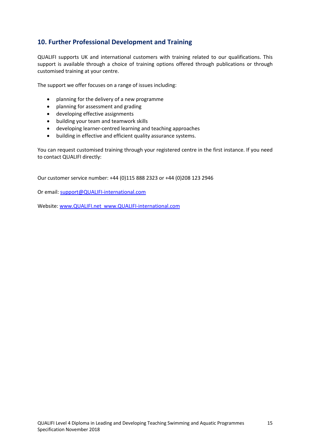# **10. Further Professional Development and Training**

QUALIFI supports UK and international customers with training related to our qualifications. This support is available through a choice of training options offered through publications or through customised training at your centre.

The support we offer focuses on a range of issues including:

- planning for the delivery of a new programme
- planning for assessment and grading
- developing effective assignments
- building your team and teamwork skills
- developing learner-centred learning and teaching approaches
- building in effective and efficient quality assurance systems.

You can request customised training through your registered centre in the first instance. If you need to contact QUALIFI directly:

Our customer service number: +44 (0)115 888 2323 or +44 (0)208 123 2946

Or email: support@QUALIFI-international.com

Website: www.QUALIFI.net www.QUALIFI-international.com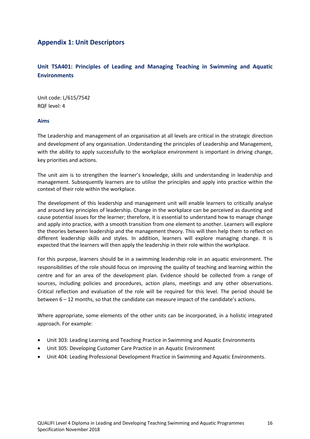# **Appendix 1: Unit Descriptors**

# **Unit TSA401: Principles of Leading and Managing Teaching in Swimming and Aquatic Environments**

Unit code: L/615/7542 RQF level: 4

#### **Aims**

The Leadership and management of an organisation at all levels are critical in the strategic direction and development of any organisation. Understanding the principles of Leadership and Management, with the ability to apply successfully to the workplace environment is important in driving change, key priorities and actions.

The unit aim is to strengthen the learner's knowledge, skills and understanding in leadership and management. Subsequently learners are to utilise the principles and apply into practice within the context of their role within the workplace.

The development of this leadership and management unit will enable learners to critically analyse and around key principles of leadership. Change in the workplace can be perceived as daunting and cause potential issues for the learner; therefore, it is essential to understand how to manage change and apply into practice, with a smooth transition from one element to another. Learners will explore the theories between leadership and the management theory. This will then help them to reflect on different leadership skills and styles. In addition, learners will explore managing change. It is expected that the learners will then apply the leadership in their role within the workplace.

For this purpose, learners should be in a swimming leadership role in an aquatic environment. The responsibilities of the role should focus on improving the quality of teaching and learning within the centre and for an area of the development plan. Evidence should be collected from a range of sources, including policies and procedures, action plans, meetings and any other observations. Critical reflection and evaluation of the role will be required for this level. The period should be between 6 – 12 months, so that the candidate can measure impact of the candidate's actions.

Where appropriate, some elements of the other units can be incorporated, in a holistic integrated approach. For example:

- Unit 303: Leading Learning and Teaching Practice in Swimming and Aquatic Environments
- Unit 305: Developing Customer Care Practice in an Aquatic Environment
- Unit 404: Leading Professional Development Practice in Swimming and Aquatic Environments.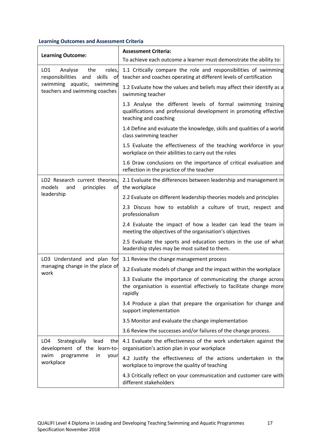| <b>Learning Outcome:</b>                                                                                                                                 | <b>Assessment Criteria:</b>                                                                                                                                 |
|----------------------------------------------------------------------------------------------------------------------------------------------------------|-------------------------------------------------------------------------------------------------------------------------------------------------------------|
|                                                                                                                                                          | To achieve each outcome a learner must demonstrate the ability to:                                                                                          |
| LO <sub>1</sub><br>Analyse<br>the<br>roles,<br>responsibilities<br>and<br>skills<br>оf<br>swimming aquatic,<br>swimming<br>teachers and swimming coaches | 1.1 Critically compare the role and responsibilities of swimming<br>teacher and coaches operating at different levels of certification                      |
|                                                                                                                                                          | 1.2 Evaluate how the values and beliefs may affect their identify as a<br>swimming teacher                                                                  |
|                                                                                                                                                          | 1.3 Analyse the different levels of formal swimming training<br>qualifications and professional development in promoting effective<br>teaching and coaching |
|                                                                                                                                                          | 1.4 Define and evaluate the knowledge, skills and qualities of a world<br>class swimming teacher                                                            |
|                                                                                                                                                          | 1.5 Evaluate the effectiveness of the teaching workforce in your<br>workplace on their abilities to carry out the roles                                     |
|                                                                                                                                                          | 1.6 Draw conclusions on the importance of critical evaluation and<br>reflection in the practice of the teacher                                              |
| LO2 Research current theories,<br>models<br>and<br>principles<br>of                                                                                      | 2.1 Evaluate the differences between leadership and management in<br>the workplace                                                                          |
| leadership                                                                                                                                               | 2.2 Evaluate on different leadership theories models and principles                                                                                         |
|                                                                                                                                                          | 2.3 Discuss how to establish a culture of trust, respect and<br>professionalism                                                                             |
|                                                                                                                                                          | 2.4 Evaluate the impact of how a leader can lead the team in<br>meeting the objectives of the organisation's objectives                                     |
|                                                                                                                                                          | 2.5 Evaluate the sports and education sectors in the use of what<br>leadership styles may be most suited to them.                                           |
| LO3 Understand and plan for                                                                                                                              | 3.1 Review the change management process                                                                                                                    |
| managing change in the place of<br>work                                                                                                                  | 3.2 Evaluate models of change and the impact within the workplace                                                                                           |
|                                                                                                                                                          | 3.3 Evaluate the importance of communicating the change across<br>the organisation is essential effectively to facilitate change more<br>rapidly            |
|                                                                                                                                                          | 3.4 Produce a plan that prepare the organisation for change and<br>support implementation                                                                   |
|                                                                                                                                                          | 3.5 Monitor and evaluate the change implementation                                                                                                          |
|                                                                                                                                                          | 3.6 Review the successes and/or failures of the change process.                                                                                             |
| Strategically<br>LO <sub>4</sub><br>lead<br>the<br>development of the learn-to-<br>swim<br>programme<br>in<br>your<br>workplace                          | 4.1 Evaluate the effectiveness of the work undertaken against the<br>organisation's action plan in your workplace                                           |
|                                                                                                                                                          | 4.2 Justify the effectiveness of the actions undertaken in the<br>workplace to improve the quality of teaching                                              |
|                                                                                                                                                          | 4.3 Critically reflect on your communication and customer care with<br>different stakeholders                                                               |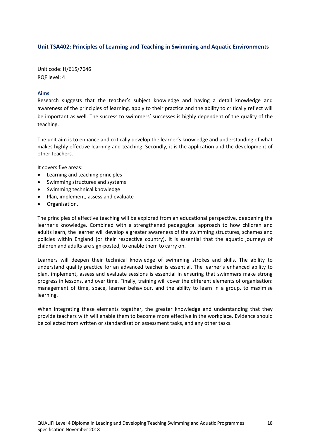## **Unit TSA402: Principles of Learning and Teaching in Swimming and Aquatic Environments**

Unit code: H/615/7646 RQF level: 4

#### **Aims**

Research suggests that the teacher's subject knowledge and having a detail knowledge and awareness of the principles of learning, apply to their practice and the ability to critically reflect will be important as well. The success to swimmers' successes is highly dependent of the quality of the teaching.

The unit aim is to enhance and critically develop the learner's knowledge and understanding of what makes highly effective learning and teaching. Secondly, it is the application and the development of other teachers.

It covers five areas:

- Learning and teaching principles
- Swimming structures and systems
- Swimming technical knowledge
- Plan, implement, assess and evaluate
- Organisation.

The principles of effective teaching will be explored from an educational perspective, deepening the learner's knowledge. Combined with a strengthened pedagogical approach to how children and adults learn, the learner will develop a greater awareness of the swimming structures, schemes and policies within England (or their respective country). It is essential that the aquatic journeys of children and adults are sign-posted, to enable them to carry on.

Learners will deepen their technical knowledge of swimming strokes and skills. The ability to understand quality practice for an advanced teacher is essential. The learner's enhanced ability to plan, implement, assess and evaluate sessions is essential in ensuring that swimmers make strong progress in lessons, and over time. Finally, training will cover the different elements of organisation: management of time, space, learner behaviour, and the ability to learn in a group, to maximise learning.

When integrating these elements together, the greater knowledge and understanding that they provide teachers with will enable them to become more effective in the workplace. Evidence should be collected from written or standardisation assessment tasks, and any other tasks.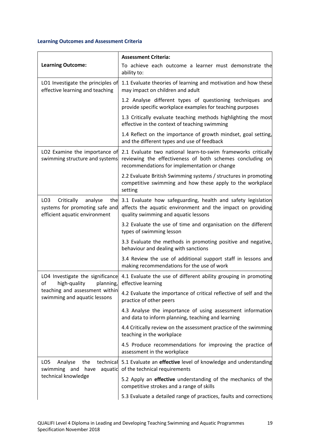|                                                                                                             | <b>Assessment Criteria:</b>                                                                                                                                                |
|-------------------------------------------------------------------------------------------------------------|----------------------------------------------------------------------------------------------------------------------------------------------------------------------------|
| <b>Learning Outcome:</b>                                                                                    | To achieve each outcome a learner must demonstrate the<br>ability to:                                                                                                      |
| LO1 Investigate the principles of<br>effective learning and teaching                                        | 1.1 Evaluate theories of learning and motivation and how these<br>may impact on children and adult                                                                         |
|                                                                                                             | 1.2 Analyse different types of questioning techniques and<br>provide specific workplace examples for teaching purposes                                                     |
|                                                                                                             | 1.3 Critically evaluate teaching methods highlighting the most<br>effective in the context of teaching swimming                                                            |
|                                                                                                             | 1.4 Reflect on the importance of growth mindset, goal setting,<br>and the different types and use of feedback                                                              |
| LO2 Examine the importance of<br>swimming structure and systems                                             | 2.1 Evaluate two national learn-to-swim frameworks critically<br>reviewing the effectiveness of both schemes concluding on<br>recommendations for implementation or change |
|                                                                                                             | 2.2 Evaluate British Swimming systems / structures in promoting<br>competitive swimming and how these apply to the workplace<br>setting                                    |
| LO <sub>3</sub><br>Critically<br>analyse<br>systems for promoting safe and<br>efficient aquatic environment | the 3.1 Evaluate how safeguarding, health and safety legislation<br>affects the aquatic environment and the impact on providing<br>quality swimming and aquatic lessons    |
|                                                                                                             | 3.2 Evaluate the use of time and organisation on the different<br>types of swimming lesson                                                                                 |
|                                                                                                             | 3.3 Evaluate the methods in promoting positive and negative,<br>behaviour and dealing with sanctions                                                                       |
|                                                                                                             | 3.4 Review the use of additional support staff in lessons and<br>making recommendations for the use of work                                                                |
| of<br>high-quality<br>planning,                                                                             | LO4 Investigate the significance 4.1 Evaluate the use of different ability grouping in promoting<br>effective learning                                                     |
| teaching and assessment within<br>swimming and aquatic lessons                                              | 4.2 Evaluate the importance of critical reflective of self and the<br>practice of other peers                                                                              |
|                                                                                                             | 4.3 Analyse the importance of using assessment information<br>and data to inform planning, teaching and learning                                                           |
|                                                                                                             | 4.4 Critically review on the assessment practice of the swimming<br>teaching in the workplace                                                                              |
|                                                                                                             | 4.5 Produce recommendations for improving the practice of<br>assessment in the workplace                                                                                   |
| LO5<br>Analyse<br>the<br>swimming and have<br>aquatic<br>technical knowledge                                | technical 5.1 Evaluate an effective level of knowledge and understanding<br>of the technical requirements                                                                  |
|                                                                                                             | 5.2 Apply an effective understanding of the mechanics of the<br>competitive strokes and a range of skills                                                                  |
|                                                                                                             | 5.3 Evaluate a detailed range of practices, faults and corrections                                                                                                         |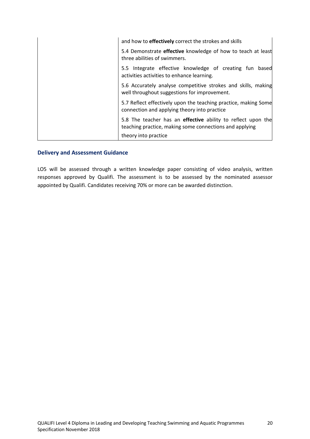| and how to <b>effectively</b> correct the strokes and skills                                                                   |
|--------------------------------------------------------------------------------------------------------------------------------|
| 5.4 Demonstrate effective knowledge of how to teach at least<br>three abilities of swimmers.                                   |
| 5.5 Integrate effective knowledge of creating fun based<br>activities activities to enhance learning.                          |
| 5.6 Accurately analyse competitive strokes and skills, making<br>well throughout suggestions for improvement.                  |
| 5.7 Reflect effectively upon the teaching practice, making Some<br>connection and applying theory into practice                |
| 5.8 The teacher has an <b>effective</b> ability to reflect upon the<br>teaching practice, making some connections and applying |
| theory into practice                                                                                                           |

## **Delivery and Assessment Guidance**

LO5 will be assessed through a written knowledge paper consisting of video analysis, written responses approved by Qualifi. The assessment is to be assessed by the nominated assessor appointed by Qualifi. Candidates receiving 70% or more can be awarded distinction.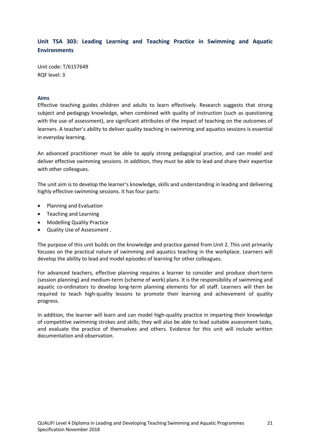# **Unit TSA 303: Leading Learning and Teaching Practice in Swimming and Aquatic Environments**

Unit code: T/6157649 RQF level: 3

#### **Aims**

Effective teaching guides children and adults to learn effectively. Research suggests that strong subject and pedagogy knowledge, when combined with quality of instruction (such as questioning with the use of assessment), are significant attributes of the impact of teaching on the outcomes of learners. A teacher's ability to deliver quality teaching in swimming and aquatics sessions is essential in everyday learning.

An advanced practitioner must be able to apply strong pedagogical practice, and can model and deliver effective swimming sessions. In addition, they must be able to lead and share their expertise with other colleagues.

The unit aim is to develop the learner's knowledge, skills and understanding in leading and delivering highly effective swimming sessions. It has four parts:

- Planning and Evaluation
- Teaching and Learning
- Modelling Quality Practice
- Quality Use of Assessment .

The purpose of this unit builds on the knowledge and practice gained from Unit 2. This unit primarily focuses on the practical nature of swimming and aquatics teaching in the workplace. Learners will develop the ability to lead and model episodes of learning for other colleagues.

For advanced teachers, effective planning requires a learner to consider and produce short-term (session planning) and medium-term (scheme of work) plans. It is the responsibility of swimming and aquatic co-ordinators to develop long-term planning elements for all staff. Learners will then be required to teach high-quality lessons to promote their learning and achievement of quality progress.

In addition, the learner will learn and can model high-quality practice in imparting their knowledge of competitive swimming strokes and skills; they will also be able to lead suitable assessment tasks, and evaluate the practice of themselves and others. Evidence for this unit will include written documentation and observation.

21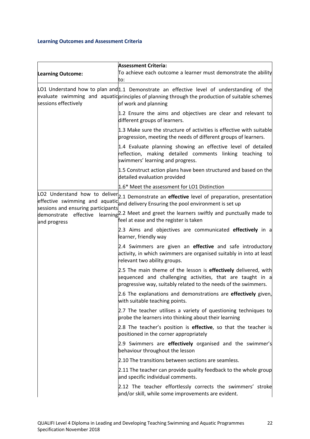|                                                                             | <b>Assessment Criteria:</b>                                                                                                                                                                                            |
|-----------------------------------------------------------------------------|------------------------------------------------------------------------------------------------------------------------------------------------------------------------------------------------------------------------|
| <b>Learning Outcome:</b>                                                    | To achieve each outcome a learner must demonstrate the ability<br>to:                                                                                                                                                  |
| sessions effectively                                                        | LO1 Understand how to plan and $1.1$ Demonstrate an effective level of understanding of the<br>evaluate swimming and aquatic principles of planning through the production of suitable schemes<br>of work and planning |
|                                                                             | 1.2 Ensure the aims and objectives are clear and relevant to<br>different groups of learners.                                                                                                                          |
|                                                                             | 1.3 Make sure the structure of activities is effective with suitable<br>progression, meeting the needs of different groups of learners.                                                                                |
|                                                                             | 1.4 Evaluate planning showing an effective level of detailed<br>reflection, making detailed comments linking teaching to<br>swimmers' learning and progress.                                                           |
|                                                                             | 1.5 Construct action plans have been structured and based on the<br>detailed evaluation provided                                                                                                                       |
|                                                                             | 1.6* Meet the assessment for LO1 Distinction                                                                                                                                                                           |
|                                                                             | LO2 Understand how to deliver 2.1 Demonstrate an effective level of preparation, presentation<br>effective swimming and aquatic and delivery Ensuring the pool environment is set up                                   |
| sessions and ensuring participants<br>demonstrate effective<br>and progress | learning <sup>2.2</sup> Meet and greet the learners swiftly and punctually made to<br>feel at ease and the register is taken                                                                                           |
|                                                                             | 2.3 Aims and objectives are communicated <b>effectively</b> in a<br>learner, friendly way                                                                                                                              |
|                                                                             | 2.4 Swimmers are given an effective and safe introductory<br>activity, in which swimmers are organised suitably in into at least<br>relevant two ability groups.                                                       |
|                                                                             | 2.5 The main theme of the lesson is effectively delivered, with<br>sequenced and challenging activities, that are taught in a<br>progressive way, suitably related to the needs of the swimmers.                       |
|                                                                             | 2.6 The explanations and demonstrations are effectively given,<br>with suitable teaching points.                                                                                                                       |
|                                                                             | 2.7 The teacher utilises a variety of questioning techniques to<br>probe the learners into thinking about their learning                                                                                               |
|                                                                             | 2.8 The teacher's position is effective, so that the teacher is<br>positioned in the corner appropriately                                                                                                              |
|                                                                             | 2.9 Swimmers are <b>effectively</b> organised and the swimmer's<br>behaviour throughout the lesson                                                                                                                     |
|                                                                             | 2.10 The transitions between sections are seamless.                                                                                                                                                                    |
|                                                                             | 2.11 The teacher can provide quality feedback to the whole group<br>and specific individual comments.                                                                                                                  |
|                                                                             | 2.12 The teacher effortlessly corrects the swimmers' stroke<br>and/or skill, while some improvements are evident.                                                                                                      |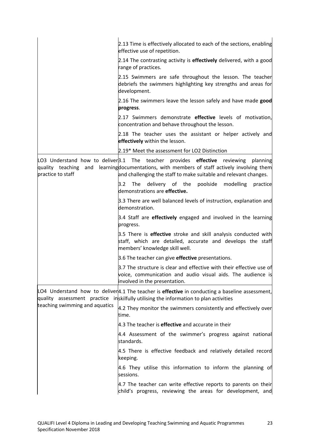|                                           | 2.13 Time is effectively allocated to each of the sections, enabling<br>effective use of repetition.                                                                                                                                 |
|-------------------------------------------|--------------------------------------------------------------------------------------------------------------------------------------------------------------------------------------------------------------------------------------|
|                                           | 2.14 The contrasting activity is <b>effectively</b> delivered, with a good<br>range of practices.                                                                                                                                    |
|                                           | 2.15 Swimmers are safe throughout the lesson. The teacher<br>debriefs the swimmers highlighting key strengths and areas for<br>development.                                                                                          |
|                                           | 2.16 The swimmers leave the lesson safely and have made good<br>progress.                                                                                                                                                            |
|                                           | 2.17 Swimmers demonstrate effective levels of motivation,<br>concentration and behave throughout the lesson.                                                                                                                         |
|                                           | 2.18 The teacher uses the assistant or helper actively and<br>effectively within the lesson.                                                                                                                                         |
|                                           | 2.19* Meet the assessment for LO2 Distinction                                                                                                                                                                                        |
| quality teaching and<br>practice to staff | LO3 Understand how to deliver 3.1 The teacher provides effective reviewing<br>planning<br>learning documentations, with members of staff actively involving them<br>and challenging the staff to make suitable and relevant changes. |
|                                           | 3.2<br>The delivery of the<br>poolside modelling<br>practice<br>demonstrations are effective.                                                                                                                                        |
|                                           | 3.3 There are well balanced levels of instruction, explanation and<br>demonstration.                                                                                                                                                 |
|                                           | 3.4 Staff are <b>effectively</b> engaged and involved in the learning<br>progress.                                                                                                                                                   |
|                                           | 3.5 There is effective stroke and skill analysis conducted with<br>staff, which are detailed, accurate and develops the staff<br>members' knowledge skill well.                                                                      |
|                                           | 3.6 The teacher can give <b>effective</b> presentations.                                                                                                                                                                             |
|                                           | 3.7 The structure is clear and effective with their effective use of<br>voice, communication and audio visual aids. The audience is<br>involved in the presentation.                                                                 |
|                                           | LO4 Understand how to deliver 4.1 The teacher is effective in conducting a baseline assessment,<br>quality assessment practice inskilfully utilising the information to plan activities                                              |
| teaching swimming and aquatics            | 4.2 They monitor the swimmers consistently and effectively over<br>time.                                                                                                                                                             |
|                                           | 4.3 The teacher is <b>effective</b> and accurate in their                                                                                                                                                                            |
|                                           | 4.4 Assessment of the swimmer's progress against national<br>standards.                                                                                                                                                              |
|                                           | 4.5 There is effective feedback and relatively detailed record<br>keeping.                                                                                                                                                           |
|                                           | 4.6 They utilise this information to inform the planning of<br>sessions.                                                                                                                                                             |
|                                           | 4.7 The teacher can write effective reports to parents on their<br>child's progress, reviewing the areas for development, and                                                                                                        |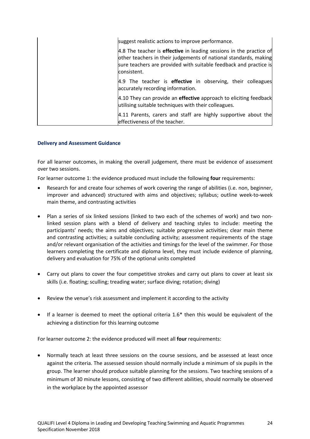| suggest realistic actions to improve performance.                                                                                                                                                                                  |
|------------------------------------------------------------------------------------------------------------------------------------------------------------------------------------------------------------------------------------|
| 4.8 The teacher is <b>effective</b> in leading sessions in the practice of<br>other teachers in their judgements of national standards, making<br>sure teachers are provided with suitable feedback and practice is<br>consistent. |
| 4.9 The teacher is <b>effective</b> in observing, their colleagues<br>accurately recording information.                                                                                                                            |
| 4.10 They can provide an effective approach to eliciting feedback<br>utilising suitable techniques with their colleagues.                                                                                                          |
| 4.11 Parents, carers and staff are highly supportive about the<br>effectiveness of the teacher.                                                                                                                                    |

#### **Delivery and Assessment Guidance**

For all learner outcomes, in making the overall judgement, there must be evidence of assessment over two sessions.

For learner outcome 1: the evidence produced must include the following **four** requirements:

- Research for and create four schemes of work covering the range of abilities (i.e. non, beginner, improver and advanced) structured with aims and objectives; syllabus; outline week-to-week main theme, and contrasting activities
- Plan a series of six linked sessions (linked to two each of the schemes of work) and two nonlinked session plans with a blend of delivery and teaching styles to include: meeting the participants' needs; the aims and objectives; suitable progressive activities; clear main theme and contrasting activities; a suitable concluding activity; assessment requirements of the stage and/or relevant organisation of the activities and timings for the level of the swimmer. For those learners completing the certificate and diploma level, they must include evidence of planning, delivery and evaluation for 75% of the optional units completed
- Carry out plans to cover the four competitive strokes and carry out plans to cover at least six skills (i.e. floating; sculling; treading water; surface diving; rotation; diving)
- Review the venue's risk assessment and implement it according to the activity
- If a learner is deemed to meet the optional criteria 1.6\* then this would be equivalent of the achieving a distinction for this learning outcome

For learner outcome 2: the evidence produced will meet all **four** requirements:

Normally teach at least three sessions on the course sessions, and be assessed at least once against the criteria. The assessed session should normally include a minimum of six pupils in the group. The learner should produce suitable planning for the sessions. Two teaching sessions of a minimum of 30 minute lessons, consisting of two different abilities, should normally be observed in the workplace by the appointed assessor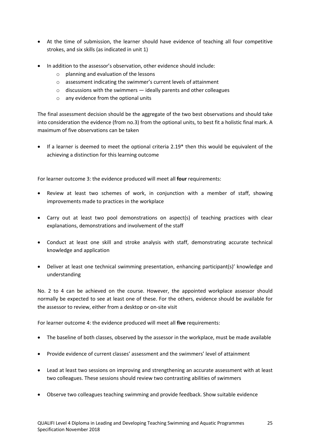- At the time of submission, the learner should have evidence of teaching all four competitive strokes, and six skills (as indicated in unit 1)
- In addition to the assessor's observation, other evidence should include:
	- o planning and evaluation of the lessons
	- o assessment indicating the swimmer's current levels of attainment
	- $\circ$  discussions with the swimmers ideally parents and other colleagues
	- o any evidence from the optional units

The final assessment decision should be the aggregate of the two best observations and should take into consideration the evidence (from no.3) from the optional units, to best fit a holistic final mark. A maximum of five observations can be taken

• If a learner is deemed to meet the optional criteria 2.19\* then this would be equivalent of the achieving a distinction for this learning outcome

For learner outcome 3: the evidence produced will meet all **four** requirements:

- Review at least two schemes of work, in conjunction with a member of staff, showing improvements made to practices in the workplace
- Carry out at least two pool demonstrations on aspect(s) of teaching practices with clear explanations, demonstrations and involvement of the staff
- Conduct at least one skill and stroke analysis with staff, demonstrating accurate technical knowledge and application
- Deliver at least one technical swimming presentation, enhancing participant(s)' knowledge and understanding

No. 2 to 4 can be achieved on the course. However, the appointed workplace assessor should normally be expected to see at least one of these. For the others, evidence should be available for the assessor to review, either from a desktop or on-site visit

For learner outcome 4: the evidence produced will meet all **five** requirements:

- The baseline of both classes, observed by the assessor in the workplace, must be made available
- Provide evidence of current classes' assessment and the swimmers' level of attainment
- Lead at least two sessions on improving and strengthening an accurate assessment with at least two colleagues. These sessions should review two contrasting abilities of swimmers
- Observe two colleagues teaching swimming and provide feedback. Show suitable evidence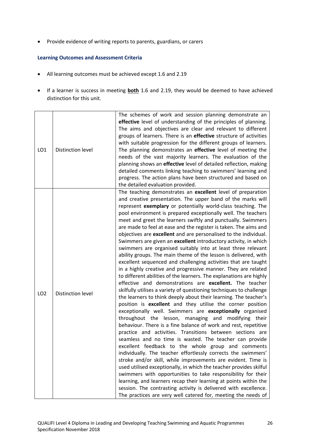• Provide evidence of writing reports to parents, guardians, or carers

- All learning outcomes must be achieved except 1.6 and 2.19
- If a learner is success in meeting **both** 1.6 and 2.19, they would be deemed to have achieved distinction for this unit.

| LO <sub>1</sub> | <b>Distinction level</b> | The schemes of work and session planning demonstrate an<br>effective level of understanding of the principles of planning.<br>The aims and objectives are clear and relevant to different<br>groups of learners. There is an effective structure of activities<br>with suitable progression for the different groups of learners.<br>The planning demonstrates an effective level of meeting the<br>needs of the vast majority learners. The evaluation of the<br>planning shows an effective level of detailed reflection, making<br>detailed comments linking teaching to swimmers' learning and<br>progress. The action plans have been structured and based on                                                                                                                                                                                                                                                                                                                                                                                                                                                                                                                                                                                                                                                                                                                                                                                                                                                                                                                                                                                                                                                                                                                                                                                                                                          |
|-----------------|--------------------------|-------------------------------------------------------------------------------------------------------------------------------------------------------------------------------------------------------------------------------------------------------------------------------------------------------------------------------------------------------------------------------------------------------------------------------------------------------------------------------------------------------------------------------------------------------------------------------------------------------------------------------------------------------------------------------------------------------------------------------------------------------------------------------------------------------------------------------------------------------------------------------------------------------------------------------------------------------------------------------------------------------------------------------------------------------------------------------------------------------------------------------------------------------------------------------------------------------------------------------------------------------------------------------------------------------------------------------------------------------------------------------------------------------------------------------------------------------------------------------------------------------------------------------------------------------------------------------------------------------------------------------------------------------------------------------------------------------------------------------------------------------------------------------------------------------------------------------------------------------------------------------------------------------------|
| LO <sub>2</sub> | Distinction level        | the detailed evaluation provided.<br>The teaching demonstrates an excellent level of preparation<br>and creative presentation. The upper band of the marks will<br>represent exemplary or potentially world-class teaching. The<br>pool environment is prepared exceptionally well. The teachers<br>meet and greet the learners swiftly and punctually. Swimmers<br>are made to feel at ease and the register is taken. The aims and<br>objectives are excellent and are personalised to the individual.<br>Swimmers are given an excellent introductory activity, in which<br>swimmers are organised suitably into at least three relevant<br>ability groups. The main theme of the lesson is delivered, with<br>excellent sequenced and challenging activities that are taught<br>in a highly creative and progressive manner. They are related<br>to different abilities of the learners. The explanations are highly<br>effective and demonstrations are excellent. The teacher<br>skilfully utilises a variety of questioning techniques to challenge<br>the learners to think deeply about their learning. The teacher's<br>position is excellent and they utilise the corner position<br>exceptionally well. Swimmers are exceptionally organised<br>throughout the lesson, managing and modifying their<br>behaviour. There is a fine balance of work and rest, repetitive<br>practice and activities. Transitions between sections are<br>seamless and no time is wasted. The teacher can provide<br>excellent feedback to the whole group and comments<br>individually. The teacher effortlessly corrects the swimmers'<br>stroke and/or skill, while improvements are evident. Time is<br>used utilised exceptionally, in which the teacher provides skilful<br>swimmers with opportunities to take responsibility for their<br>learning, and learners recap their learning at points within the |
|                 |                          | session. The contrasting activity is delivered with excellence.<br>The practices are very well catered for, meeting the needs of                                                                                                                                                                                                                                                                                                                                                                                                                                                                                                                                                                                                                                                                                                                                                                                                                                                                                                                                                                                                                                                                                                                                                                                                                                                                                                                                                                                                                                                                                                                                                                                                                                                                                                                                                                            |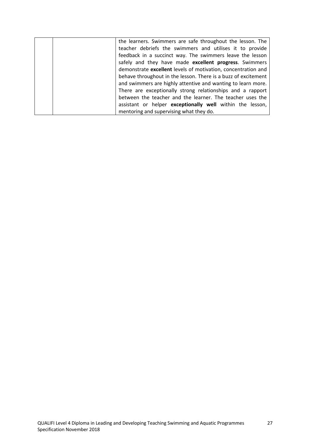| the learners. Swimmers are safe throughout the lesson. The     |
|----------------------------------------------------------------|
| teacher debriefs the swimmers and utilises it to provide       |
| feedback in a succinct way. The swimmers leave the lesson      |
| safely and they have made excellent progress. Swimmers         |
| demonstrate excellent levels of motivation, concentration and  |
| behave throughout in the lesson. There is a buzz of excitement |
| and swimmers are highly attentive and wanting to learn more.   |
| There are exceptionally strong relationships and a rapport     |
| between the teacher and the learner. The teacher uses the      |
| assistant or helper exceptionally well within the lesson,      |
| mentoring and supervising what they do.                        |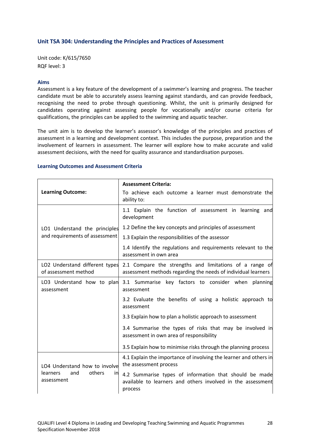## **Unit TSA 304: Understanding the Principles and Practices of Assessment**

Unit code: K/615/7650 RQF level: 3

#### **Aims**

Assessment is a key feature of the development of a swimmer's learning and progress. The teacher candidate must be able to accurately assess learning against standards, and can provide feedback, recognising the need to probe through questioning. Whilst, the unit is primarily designed for candidates operating against assessing people for vocationally and/or course criteria for qualifications, the principles can be applied to the swimming and aquatic teacher.

The unit aim is to develop the learner's assessor's knowledge of the principles and practices of assessment in a learning and development context. This includes the purpose, preparation and the involvement of learners in assessment. The learner will explore how to make accurate and valid assessment decisions, with the need for quality assurance and standardisation purposes.

|                                                                                       | <b>Assessment Criteria:</b>                                                                                                      |
|---------------------------------------------------------------------------------------|----------------------------------------------------------------------------------------------------------------------------------|
| <b>Learning Outcome:</b>                                                              | To achieve each outcome a learner must demonstrate the<br>ability to:                                                            |
|                                                                                       | 1.1 Explain the function of assessment in learning and<br>development                                                            |
| LO1 Understand the principles                                                         | 1.2 Define the key concepts and principles of assessment                                                                         |
| and requirements of assessment                                                        | 1.3 Explain the responsibilities of the assessor                                                                                 |
|                                                                                       | 1.4 Identify the regulations and requirements relevant to the<br>assessment in own area                                          |
| LO2 Understand different types<br>of assessment method                                | 2.1 Compare the strengths and limitations of a range of<br>assessment methods regarding the needs of individual learners         |
| LO3 Understand how to plan<br>assessment                                              | 3.1 Summarise key factors to consider when planning<br>assessment                                                                |
|                                                                                       | 3.2 Evaluate the benefits of using a holistic approach to<br>assessment                                                          |
|                                                                                       | 3.3 Explain how to plan a holistic approach to assessment                                                                        |
|                                                                                       | 3.4 Summarise the types of risks that may be involved in<br>assessment in own area of responsibility                             |
|                                                                                       | 3.5 Explain how to minimise risks through the planning process                                                                   |
| LO4 Understand how to involve<br>others<br><b>learners</b><br>and<br>in<br>assessment | 4.1 Explain the importance of involving the learner and others in<br>the assessment process                                      |
|                                                                                       | 4.2 Summarise types of information that should be made<br>available to learners and others involved in the assessment<br>process |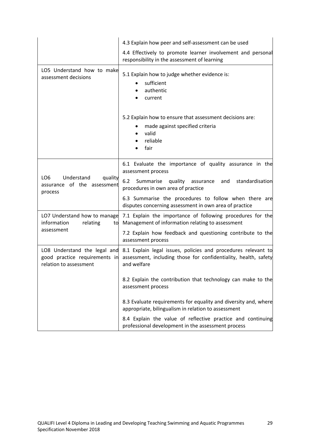|                                                                                         | 4.3 Explain how peer and self-assessment can be used                                                                                                                                                            |
|-----------------------------------------------------------------------------------------|-----------------------------------------------------------------------------------------------------------------------------------------------------------------------------------------------------------------|
|                                                                                         | 4.4 Effectively to promote learner involvement and personal<br>responsibility in the assessment of learning                                                                                                     |
| LO5 Understand how to make<br>assessment decisions                                      | 5.1 Explain how to judge whether evidence is:<br>sufficient<br>authentic<br>current<br>5.2 Explain how to ensure that assessment decisions are:<br>made against specified criteria<br>valid<br>reliable<br>fair |
|                                                                                         | 6.1 Evaluate the importance of quality assurance in the<br>assessment process                                                                                                                                   |
| LO <sub>6</sub><br>Understand<br>quality<br>assurance of the assessment<br>process      | 6.2<br>Summarise<br>quality<br>standardisation<br>and<br>assurance<br>procedures in own area of practice                                                                                                        |
|                                                                                         | 6.3 Summarise the procedures to follow when there are<br>disputes concerning assessment in own area of practice                                                                                                 |
| LO7 Understand how to manage<br>information<br>relating<br>to                           | 7.1 Explain the importance of following procedures for the<br>Management of information relating to assessment                                                                                                  |
| assessment                                                                              | 7.2 Explain how feedback and questioning contribute to the<br>assessment process                                                                                                                                |
| LO8 Understand the legal and<br>good practice requirements in<br>relation to assessment | 8.1 Explain legal issues, policies and procedures relevant to<br>assessment, including those for confidentiality, health, safety<br>and welfare                                                                 |
|                                                                                         | 8.2 Explain the contribution that technology can make to the<br>assessment process                                                                                                                              |
|                                                                                         | 8.3 Evaluate requirements for equality and diversity and, where<br>appropriate, bilingualism in relation to assessment                                                                                          |
|                                                                                         | 8.4 Explain the value of reflective practice and continuing<br>professional development in the assessment process                                                                                               |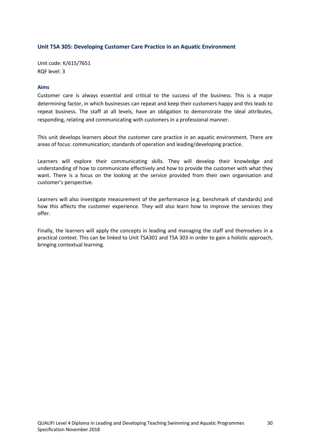# **Unit TSA 305: Developing Customer Care Practice in an Aquatic Environment**

Unit code: K/615/7651 RQF level: 3

#### **Aims**

Customer care is always essential and critical to the success of the business. This is a major determining factor, in which businesses can repeat and keep their customers happy and this leads to repeat business. The staff at all levels, have an obligation to demonstrate the ideal attributes, responding, relating and communicating with customers in a professional manner.

This unit develops learners about the customer care practice in an aquatic environment. There are areas of focus: communication; standards of operation and leading/developing practice.

Learners will explore their communicating skills. They will develop their knowledge and understanding of how to communicate effectively and how to provide the customer with what they want. There is a focus on the looking at the service provided from their own organisation and customer's perspective.

Learners will also investigate measurement of the performance (e.g. benchmark of standards) and how this affects the customer experience. They will also learn how to improve the services they offer.

Finally, the learners will apply the concepts in leading and managing the staff and themselves in a practical context. This can be linked to Unit TSA301 and TSA 303 in order to gain a holistic approach, bringing contextual learning.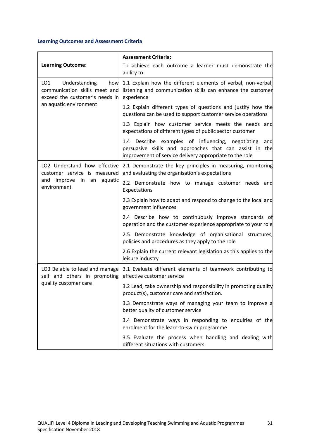|                                                                                                                          | <b>Assessment Criteria:</b>                                                                                                                                                    |
|--------------------------------------------------------------------------------------------------------------------------|--------------------------------------------------------------------------------------------------------------------------------------------------------------------------------|
| <b>Learning Outcome:</b>                                                                                                 | To achieve each outcome a learner must demonstrate the<br>ability to:                                                                                                          |
| Understanding<br>LO1<br>how<br>communication skills meet and<br>exceed the customer's needs in<br>an aquatic environment | 1.1 Explain how the different elements of verbal, non-verbal,<br>listening and communication skills can enhance the customer<br>experience                                     |
|                                                                                                                          | 1.2 Explain different types of questions and justify how the<br>questions can be used to support customer service operations                                                   |
|                                                                                                                          | 1.3 Explain how customer service meets the needs and<br>expectations of different types of public sector customer                                                              |
|                                                                                                                          | 1.4 Describe examples of influencing, negotiating<br>and<br>persuasive skills and approaches that can assist in the<br>improvement of service delivery appropriate to the role |
| LO2 Understand how effective<br>customer service is measured<br>improve<br>and<br>in<br>an<br>aquatic<br>environment     | 2.1 Demonstrate the key principles in measuring, monitoring<br>and evaluating the organisation's expectations                                                                  |
|                                                                                                                          | 2.2 Demonstrate how to manage customer needs and<br>Expectations                                                                                                               |
|                                                                                                                          | 2.3 Explain how to adapt and respond to change to the local and<br>government influences                                                                                       |
|                                                                                                                          | 2.4 Describe how to continuously improve standards of<br>operation and the customer experience appropriate to your role                                                        |
|                                                                                                                          | 2.5 Demonstrate knowledge of organisational structures,<br>policies and procedures as they apply to the role                                                                   |
|                                                                                                                          | 2.6 Explain the current relevant legislation as this applies to the<br>leisure industry                                                                                        |
| LO3 Be able to lead and manage<br>self and others in promoting<br>quality customer care                                  | 3.1 Evaluate different elements of teamwork contributing to<br>effective customer service                                                                                      |
|                                                                                                                          | 3.2 Lead, take ownership and responsibility in promoting quality<br>product(s), customer care and satisfaction.                                                                |
|                                                                                                                          | 3.3 Demonstrate ways of managing your team to improve a<br>better quality of customer service                                                                                  |
|                                                                                                                          | 3.4 Demonstrate ways in responding to enquiries of the<br>enrolment for the learn-to-swim programme                                                                            |
|                                                                                                                          | 3.5 Evaluate the process when handling and dealing with<br>different situations with customers.                                                                                |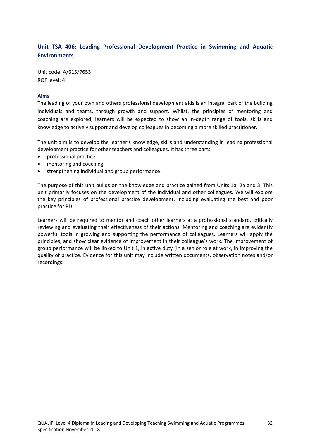# **Unit TSA 406: Leading Professional Development Practice in Swimming and Aquatic Environments**

Unit code: A/615/7653 RQF level: 4

#### **Aims**

The leading of your own and others professional development aids is an integral part of the building individuals and teams, through growth and support. Whilst, the principles of mentoring and coaching are explored, learners will be expected to show an in-depth range of tools, skills and knowledge to actively support and develop colleagues in becoming a more skilled practitioner.

The unit aim is to develop the learner's knowledge, skills and understanding in leading professional development practice for other teachers and colleagues. It has three parts:

- professional practice
- mentoring and coaching
- strengthening individual and group performance

The purpose of this unit builds on the knowledge and practice gained from Units 1a, 2a and 3. This unit primarily focuses on the development of the individual and other colleagues. We will explore the key principles of professional practice development, including evaluating the best and poor practice for PD.

Learners will be required to mentor and coach other learners at a professional standard, critically reviewing and evaluating their effectiveness of their actions. Mentoring and coaching are evidently powerful tools in growing and supporting the performance of colleagues. Learners will apply the principles, and show clear evidence of improvement in their colleague's work. The improvement of group performance will be linked to Unit 1, in active duty (in a senior role at work, in improving the quality of practice. Evidence for this unit may include written documents, observation notes and/or recordings.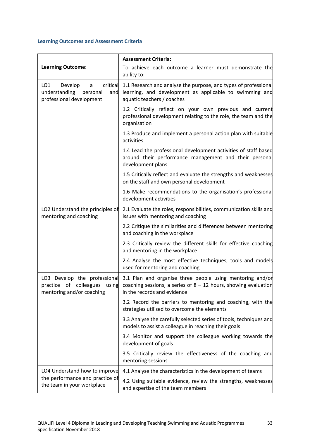|                                                                                                 | <b>Assessment Criteria:</b>                                                                                                                                                                                             |
|-------------------------------------------------------------------------------------------------|-------------------------------------------------------------------------------------------------------------------------------------------------------------------------------------------------------------------------|
| <b>Learning Outcome:</b>                                                                        | To achieve each outcome a learner must demonstrate the<br>ability to:                                                                                                                                                   |
| Develop<br>critical<br>LO1<br>a<br>understanding<br>personal<br>and<br>professional development | 1.1 Research and analyse the purpose, and types of professional<br>learning, and development as applicable to swimming and<br>aquatic teachers / coaches                                                                |
|                                                                                                 | 1.2 Critically reflect on your own previous and current<br>professional development relating to the role, the team and the<br>organisation                                                                              |
|                                                                                                 | 1.3 Produce and implement a personal action plan with suitable<br>activities                                                                                                                                            |
|                                                                                                 | 1.4 Lead the professional development activities of staff based<br>around their performance management and their personal<br>development plans                                                                          |
|                                                                                                 | 1.5 Critically reflect and evaluate the strengths and weaknesses<br>on the staff and own personal development                                                                                                           |
|                                                                                                 | 1.6 Make recommendations to the organisation's professional<br>development activities                                                                                                                                   |
| LO2 Understand the principles of<br>mentoring and coaching                                      | 2.1 Evaluate the roles, responsibilities, communication skills and<br>issues with mentoring and coaching                                                                                                                |
|                                                                                                 | 2.2 Critique the similarities and differences between mentoring<br>and coaching in the workplace                                                                                                                        |
|                                                                                                 | 2.3 Critically review the different skills for effective coaching<br>and mentoring in the workplace                                                                                                                     |
|                                                                                                 | 2.4 Analyse the most effective techniques, tools and models<br>used for mentoring and coaching                                                                                                                          |
| mentoring and/or coaching                                                                       | LO3 Develop the professional 3.1 Plan and organise three people using mentoring and/or<br>practice of colleagues using coaching sessions, a series of $8 - 12$ hours, showing evaluation<br>in the records and evidence |
|                                                                                                 | 3.2 Record the barriers to mentoring and coaching, with the<br>strategies utilised to overcome the elements                                                                                                             |
|                                                                                                 | 3.3 Analyse the carefully selected series of tools, techniques and<br>models to assist a colleague in reaching their goals                                                                                              |
|                                                                                                 | 3.4 Monitor and support the colleague working towards the<br>development of goals                                                                                                                                       |
|                                                                                                 | 3.5 Critically review the effectiveness of the coaching and<br>mentoring sessions                                                                                                                                       |
| LO4 Understand how to improve                                                                   | 4.1 Analyse the characteristics in the development of teams                                                                                                                                                             |
| the performance and practice of<br>the team in your workplace                                   | 4.2 Using suitable evidence, review the strengths, weaknesses<br>and expertise of the team members                                                                                                                      |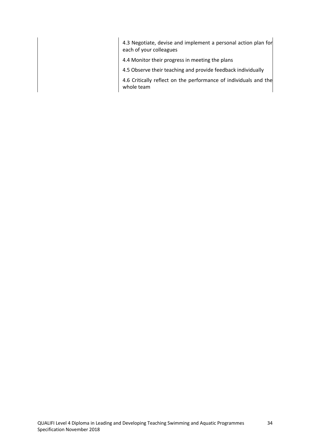4.3 Negotiate, devise and implement a personal action plan for each of your colleagues

- 4.4 Monitor their progress in meeting the plans
- 4.5 Observe their teaching and provide feedback individually

4.6 Critically reflect on the performance of individuals and the whole team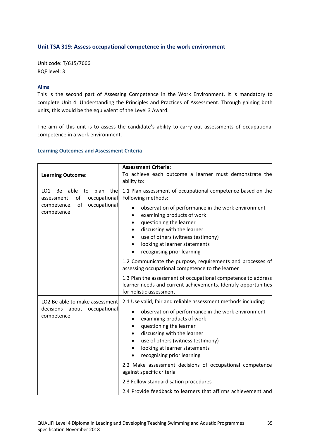## **Unit TSA 319: Assess occupational competence in the work environment**

Unit code: T/615/7666 RQF level: 3

#### **Aims**

This is the second part of Assessing Competence in the Work Environment. It is mandatory to complete Unit 4: Understanding the Principles and Practices of Assessment. Through gaining both units, this would be the equivalent of the Level 3 Award.

The aim of this unit is to assess the candidate's ability to carry out assessments of occupational competence in a work environment.

| <b>Learning Outcome:</b>                                                                                                      | <b>Assessment Criteria:</b><br>To achieve each outcome a learner must demonstrate the<br>ability to:                                                                                                                                                                                                                                                                                                                                                                                                                                                       |
|-------------------------------------------------------------------------------------------------------------------------------|------------------------------------------------------------------------------------------------------------------------------------------------------------------------------------------------------------------------------------------------------------------------------------------------------------------------------------------------------------------------------------------------------------------------------------------------------------------------------------------------------------------------------------------------------------|
| plan<br>the<br>LO1<br>Be<br>able<br>to<br>of<br>occupational<br>assessment<br>of<br>occupational<br>competence.<br>competence | 1.1 Plan assessment of occupational competence based on the<br>Following methods:<br>observation of performance in the work environment<br>$\bullet$<br>examining products of work<br>questioning the learner<br>discussing with the learner<br>use of others (witness testimony)<br>looking at learner statements<br>$\bullet$<br>recognising prior learning<br>$\bullet$<br>1.2 Communicate the purpose, requirements and processes of<br>assessing occupational competence to the learner                                                               |
|                                                                                                                               | 1.3 Plan the assessment of occupational competence to address<br>learner needs and current achievements. Identify opportunities<br>for holistic assessment                                                                                                                                                                                                                                                                                                                                                                                                 |
| LO2 Be able to make assessment<br>decisions<br>about<br>occupational<br>competence                                            | 2.1 Use valid, fair and reliable assessment methods including:<br>observation of performance in the work environment<br>$\bullet$<br>examining products of work<br>$\bullet$<br>questioning the learner<br>discussing with the learner<br>use of others (witness testimony)<br>looking at learner statements<br>$\bullet$<br>recognising prior learning<br>2.2 Make assessment decisions of occupational competence<br>against specific criteria<br>2.3 Follow standardisation procedures<br>2.4 Provide feedback to learners that affirms achievement and |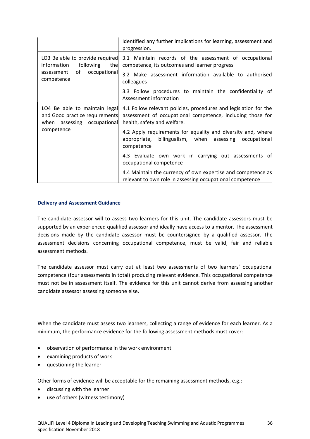|                                                                                                                        | Identified any further implications for learning, assessment and<br>progression.                                                                                                 |
|------------------------------------------------------------------------------------------------------------------------|----------------------------------------------------------------------------------------------------------------------------------------------------------------------------------|
| LO3 Be able to provide required<br>the<br>information<br>following<br>occupational<br>of l<br>assessment<br>competence | 3.1 Maintain records of the assessment of occupational<br>competence, its outcomes and learner progress<br>3.2 Make assessment information available to authorised<br>colleagues |
|                                                                                                                        | 3.3 Follow procedures to maintain the confidentiality of<br>Assessment information                                                                                               |
| LO4 Be able to maintain legal<br>and Good practice requirements<br>when assessing occupational<br>competence           | 4.1 Follow relevant policies, procedures and legislation for the<br>assessment of occupational competence, including those for<br>health, safety and welfare.                    |
|                                                                                                                        | 4.2 Apply requirements for equality and diversity and, where<br>appropriate, bilingualism, when assessing occupational<br>competence                                             |
|                                                                                                                        | 4.3 Evaluate own work in carrying out assessments of<br>occupational competence                                                                                                  |
|                                                                                                                        | 4.4 Maintain the currency of own expertise and competence as<br>relevant to own role in assessing occupational competence                                                        |

#### **Delivery and Assessment Guidance**

The candidate assessor will to assess two learners for this unit. The candidate assessors must be supported by an experienced qualified assessor and ideally have access to a mentor. The assessment decisions made by the candidate assessor must be countersigned by a qualified assessor. The assessment decisions concerning occupational competence, must be valid, fair and reliable assessment methods.

The candidate assessor must carry out at least two assessments of two learners' occupational competence (four assessments in total) producing relevant evidence. This occupational competence must not be in assessment itself. The evidence for this unit cannot derive from assessing another candidate assessor assessing someone else.

When the candidate must assess two learners, collecting a range of evidence for each learner. As a minimum, the performance evidence for the following assessment methods must cover:

- observation of performance in the work environment
- examining products of work
- questioning the learner

Other forms of evidence will be acceptable for the remaining assessment methods, e.g.:

- discussing with the learner
- use of others (witness testimony)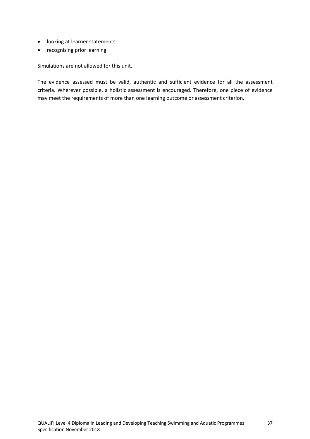- looking at learner statements
- recognising prior learning

Simulations are not allowed for this unit.

The evidence assessed must be valid, authentic and sufficient evidence for all the assessment criteria. Wherever possible, a holistic assessment is encouraged. Therefore, one piece of evidence may meet the requirements of more than one learning outcome or assessment criterion.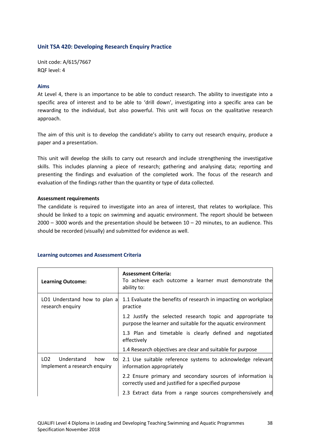## **Unit TSA 420: Developing Research Enquiry Practice**

Unit code: A/615/7667 RQF level: 4

#### **Aims**

At Level 4, there is an importance to be able to conduct research. The ability to investigate into a specific area of interest and to be able to 'drill down', investigating into a specific area can be rewarding to the individual, but also powerful. This unit will focus on the qualitative research approach.

The aim of this unit is to develop the candidate's ability to carry out research enquiry, produce a paper and a presentation.

This unit will develop the skills to carry out research and include strengthening the investigative skills. This includes planning a piece of research; gathering and analysing data; reporting and presenting the findings and evaluation of the completed work. The focus of the research and evaluation of the findings rather than the quantity or type of data collected.

#### **Assessment requirements**

The candidate is required to investigate into an area of interest, that relates to workplace. This should be linked to a topic on swimming and aquatic environment. The report should be between  $2000 - 3000$  words and the presentation should be between  $10 - 20$  minutes, to an audience. This should be recorded (visually) and submitted for evidence as well.

| <b>Learning Outcome:</b>                                                   | <b>Assessment Criteria:</b><br>To achieve each outcome a learner must demonstrate the<br>ability to:                       |
|----------------------------------------------------------------------------|----------------------------------------------------------------------------------------------------------------------------|
| LO1 Understand how to plan a<br>research enquiry                           | 1.1 Evaluate the benefits of research in impacting on workplace<br>practice                                                |
|                                                                            | 1.2 Justify the selected research topic and appropriate to<br>purpose the learner and suitable for the aquatic environment |
|                                                                            | 1.3 Plan and timetable is clearly defined and negotiated<br>effectively                                                    |
|                                                                            | 1.4 Research objectives are clear and suitable for purpose                                                                 |
| LO <sub>2</sub><br>Understand<br>how<br>to<br>Implement a research enquiry | 2.1 Use suitable reference systems to acknowledge relevant<br>information appropriately                                    |
|                                                                            | 2.2 Ensure primary and secondary sources of information is<br>correctly used and justified for a specified purpose         |
|                                                                            | 2.3 Extract data from a range sources comprehensively and                                                                  |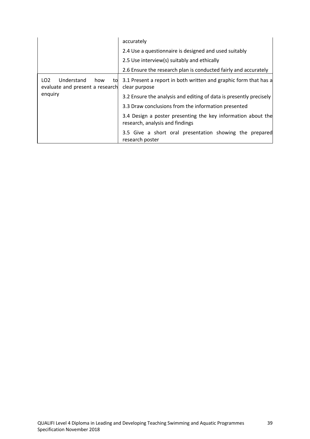|                                                                                           | accurately                                                                                      |
|-------------------------------------------------------------------------------------------|-------------------------------------------------------------------------------------------------|
|                                                                                           | 2.4 Use a questionnaire is designed and used suitably                                           |
|                                                                                           | 2.5 Use interview(s) suitably and ethically                                                     |
|                                                                                           | 2.6 Ensure the research plan is conducted fairly and accurately                                 |
| Understand<br>LO <sub>2</sub><br>how<br>tol<br>evaluate and present a research<br>enquiry | 3.1 Present a report in both written and graphic form that has a<br>clear purpose               |
|                                                                                           | 3.2 Ensure the analysis and editing of data is presently precisely                              |
|                                                                                           | 3.3 Draw conclusions from the information presented                                             |
|                                                                                           | 3.4 Design a poster presenting the key information about the<br>research, analysis and findings |
|                                                                                           | 3.5 Give a short oral presentation showing the prepared<br>research poster                      |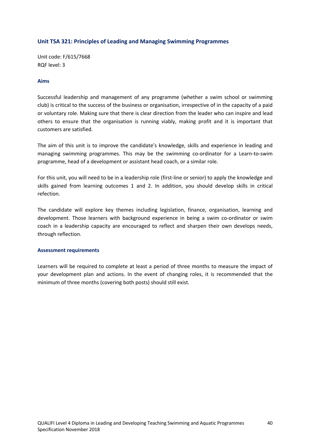## **Unit TSA 321: Principles of Leading and Managing Swimming Programmes**

Unit code: F/615/7668 RQF level: 3

#### **Aims**

Successful leadership and management of any programme (whether a swim school or swimming club) is critical to the success of the business or organisation, irrespective of in the capacity of a paid or voluntary role. Making sure that there is clear direction from the leader who can inspire and lead others to ensure that the organisation is running viably, making profit and it is important that customers are satisfied.

The aim of this unit is to improve the candidate's knowledge, skills and experience in leading and managing swimming programmes. This may be the swimming co-ordinator for a Learn-to-swim programme, head of a development or assistant head coach, or a similar role.

For this unit, you will need to be in a leadership role (first-line or senior) to apply the knowledge and skills gained from learning outcomes 1 and 2. In addition, you should develop skills in critical refection.

The candidate will explore key themes including legislation, finance, organisation, learning and development. Those learners with background experience in being a swim co-ordinator or swim coach in a leadership capacity are encouraged to reflect and sharpen their own develops needs, through reflection.

#### **Assessment requirements**

Learners will be required to complete at least a period of three months to measure the impact of your development plan and actions. In the event of changing roles, it is recommended that the minimum of three months (covering both posts) should still exist.